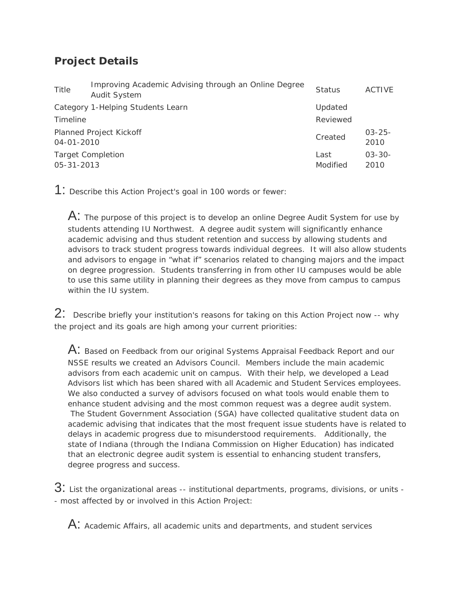## **Project Details**

| Title                                        | Improving Academic Advising through an Online Degree<br><b>Audit System</b> | <b>Status</b>    | ACTIVE              |
|----------------------------------------------|-----------------------------------------------------------------------------|------------------|---------------------|
|                                              | Category 1-Helping Students Learn                                           | Updated          |                     |
| Timeline                                     |                                                                             | Reviewed         |                     |
| $04 - 01 - 2010$                             | Planned Project Kickoff                                                     | Created          | $03 - 25 -$<br>2010 |
| <b>Target Completion</b><br>$05 - 31 - 2013$ |                                                                             | Last<br>Modified | $03 - 30 -$<br>2010 |

1: Describe this Action Project's goal in 100 words or fewer:

 $\mathsf{A}\text{:}$  The purpose of this project is to develop an online Degree Audit System for use by students attending IU Northwest. A degree audit system will significantly enhance academic advising and thus student retention and success by allowing students and advisors to track student progress towards individual degrees. It will also allow students and advisors to engage in "what if" scenarios related to changing majors and the impact on degree progression. Students transferring in from other IU campuses would be able to use this same utility in planning their degrees as they move from campus to campus within the IU system.

2: Describe briefly your institution's reasons for taking on this Action Project now -- why the project and its goals are high among your current priorities:

 $A:$  Based on Feedback from our original Systems Appraisal Feedback Report and our NSSE results we created an Advisors Council. Members include the main academic advisors from each academic unit on campus. With their help, we developed a Lead Advisors list which has been shared with all Academic and Student Services employees. We also conducted a survey of advisors focused on what tools would enable them to enhance student advising and the most common request was a degree audit system. The Student Government Association (SGA) have collected qualitative student data on academic advising that indicates that the most frequent issue students have is related to delays in academic progress due to misunderstood requirements. Additionally, the state of Indiana (through the Indiana Commission on Higher Education) has indicated that an electronic degree audit system is essential to enhancing student transfers, degree progress and success.

3: List the organizational areas -- institutional departments, programs, divisions, or units -- most affected by or involved in this Action Project:

 $\mathsf A\mathpunct{:}\;}$  Academic Affairs, all academic units and departments, and student services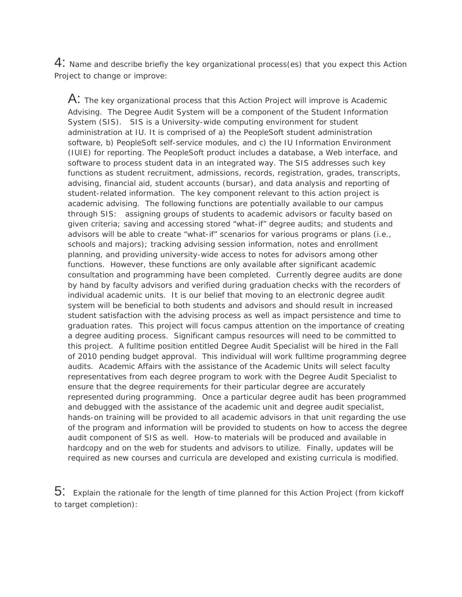4: Name and describe briefly the key organizational process(es) that you expect this Action Project to change or improve:

 $\mathsf A\mathpunct{:}$  The key organizational process that this Action Project will improve is Academic Advising. The Degree Audit System will be a component of the Student Information System (SIS). SIS is a University-wide computing environment for student administration at IU. It is comprised of a) the PeopleSoft student administration software, b) PeopleSoft self-service modules, and c) the IU Information Environment (IUIE) for reporting. The PeopleSoft product includes a database, a Web interface, and software to process student data in an integrated way. The SIS addresses such key functions as student recruitment, admissions, records, registration, grades, transcripts, advising, financial aid, student accounts (bursar), and data analysis and reporting of student-related information. The key component relevant to this action project is academic advising. The following functions are potentially available to our campus through SIS: assigning groups of students to academic advisors or faculty based on given criteria; saving and accessing stored "what-if" degree audits; and students and advisors will be able to create "what-if" scenarios for various programs or plans (i.e., schools and majors); tracking advising session information, notes and enrollment planning, and providing university-wide access to notes for advisors among other functions. However, these functions are only available after significant academic consultation and programming have been completed. Currently degree audits are done by hand by faculty advisors and verified during graduation checks with the recorders of individual academic units. It is our belief that moving to an electronic degree audit system will be beneficial to both students and advisors and should result in increased student satisfaction with the advising process as well as impact persistence and time to graduation rates. This project will focus campus attention on the importance of creating a degree auditing process. Significant campus resources will need to be committed to this project. A fulltime position entitled Degree Audit Specialist will be hired in the Fall of 2010 pending budget approval. This individual will work fulltime programming degree audits. Academic Affairs with the assistance of the Academic Units will select faculty representatives from each degree program to work with the Degree Audit Specialist to ensure that the degree requirements for their particular degree are accurately represented during programming. Once a particular degree audit has been programmed and debugged with the assistance of the academic unit and degree audit specialist, hands-on training will be provided to all academic advisors in that unit regarding the use of the program and information will be provided to students on how to access the degree audit component of SIS as well. How-to materials will be produced and available in hardcopy and on the web for students and advisors to utilize. Finally, updates will be required as new courses and curricula are developed and existing curricula is modified.

5: Explain the rationale for the length of time planned for this Action Project (from kickoff to target completion):